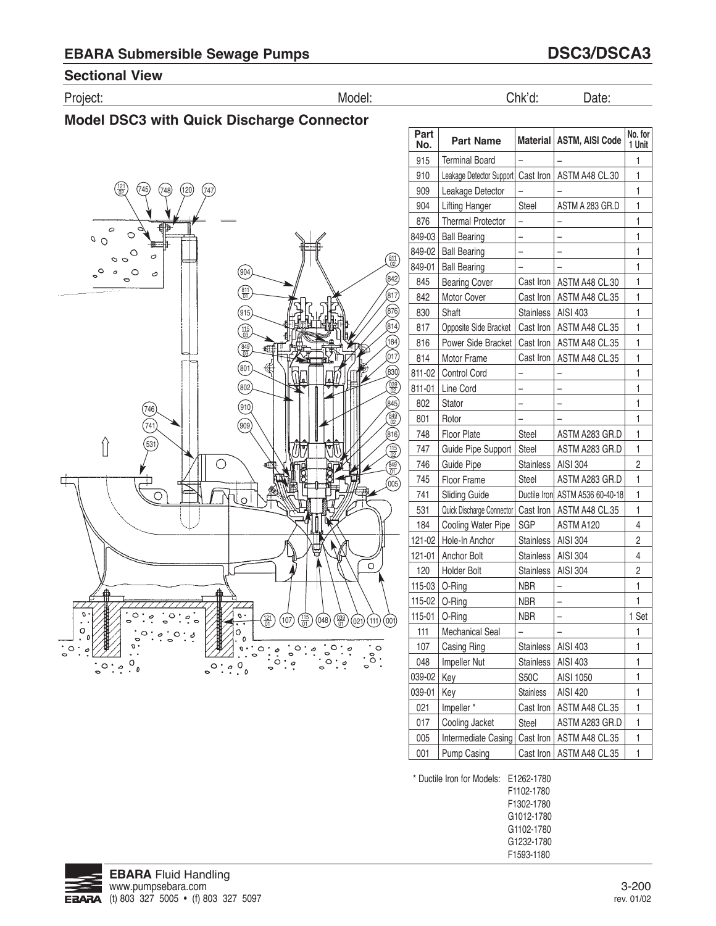### **Sectional view**

Project: Model: Chk'd: Date:



 $\circ$ 

| Part<br>No. | <b>Part Name</b>                     |                  | Material   ASTM, AISI Code      | No. for<br>1 Unit |
|-------------|--------------------------------------|------------------|---------------------------------|-------------------|
| 915         | <b>Terminal Board</b>                |                  |                                 | 1                 |
| 910         | Leakage Detector Support   Cast Iron |                  | ASTM A48 CL.30                  | 1                 |
| 909         | Leakage Detector                     |                  |                                 | 1                 |
| 904         | Lifting Hanger                       | Steel            | ASTM A 283 GR.D                 | 1                 |
| 876         | <b>Thermal Protector</b>             |                  |                                 | 1                 |
| 849-03      | <b>Ball Bearing</b>                  |                  |                                 | 1                 |
| 849-02      | <b>Ball Bearing</b>                  | -                |                                 | 1                 |
| 849-01      | <b>Ball Bearing</b>                  |                  |                                 | 1                 |
| 845         | <b>Bearing Cover</b>                 | Cast Iron        | ASTM A48 CL.30                  | 1                 |
| 842         | Motor Cover                          | Cast Iron        | ASTM A48 CL.35                  | 1                 |
| 830         | Shaft                                | <b>Stainless</b> | AISI 403                        | 1                 |
| 817         | Opposite Side Bracket                | Cast Iron        | ASTM A48 CL.35                  | 1                 |
| 816         | Power Side Bracket                   | Cast Iron        | ASTM A48 CL.35                  | 1                 |
| 814         | Motor Frame                          | Cast Iron        | ASTM A48 CL.35                  | 1                 |
| 811-02      | <b>Control Cord</b>                  |                  |                                 | 1                 |
| 811-01      | Line Cord                            |                  |                                 | 1                 |
| 802         | Stator                               |                  |                                 | 1                 |
| 801         | Rotor                                |                  |                                 | 1                 |
| 748         | <b>Floor Plate</b>                   | Steel            | ASTM A283 GR.D                  | 1                 |
| 747         | Guide Pipe Support                   | Steel            | ASTM A283 GR.D                  | 1                 |
| 746         | <b>Guide Pipe</b>                    | <b>Stainless</b> | AISI 304                        | 2                 |
| 745         | Floor Frame                          | Steel            | ASTM A283 GR.D                  | 1                 |
| 741         | <b>Sliding Guide</b>                 |                  | Ductile Iron ASTM A536 60-40-18 | 1                 |
| 531         | Quick Discharge Connector            | Cast Iron        | ASTM A48 CL.35                  | 1                 |
| 184         | Cooling Water Pipe                   | SGP              | ASTM A120                       | 4                 |
| 121-02      | Hole-In Anchor                       | <b>Stainless</b> | AISI 304                        | 2                 |
| 121-01      | Anchor Bolt                          | <b>Stainless</b> | AISI 304                        | 4                 |
| 120         | Holder Bolt                          | <b>Stainless</b> | AISI 304                        | 2                 |
| 115-03      | O-Ring                               | <b>NBR</b>       |                                 | 1                 |
| 115-02      | O-Ring                               | <b>NBR</b>       |                                 | 1                 |
| 115-01      | O-Ring                               | <b>NBR</b>       |                                 | 1 Set             |
| 111         | Mechanical Seal                      |                  |                                 | 1                 |
| 107         | Casing Ring                          | <b>Stainless</b> | AISI 403                        | 1                 |
| 048         | Impeller Nut                         | <b>Stainless</b> | AISI 403                        | 1                 |
| 039-02      | Key                                  | <b>S50C</b>      | AISI 1050                       | 1                 |
| 039-01      | Key                                  | <b>Stainless</b> | AISI 420                        | 1                 |
| 021         | Impeller*                            | Cast Iron        | ASTM A48 CL.35                  | 1                 |
| 017         | Cooling Jacket                       | Steel            | ASTM A283 GR.D                  | 1                 |
| 005         | Intermediate Casing                  | Cast Iron        | ASTM A48 CL.35                  | 1                 |
| 001         | Pump Casing                          | Cast Iron        | ASTM A48 CL.35                  | 1                 |

\* Ductile Iron for Models: E1262-1780 F1102-1780 F1302-1780 G1012-1780 G1102-1780 G1232-1780 F1593-1180